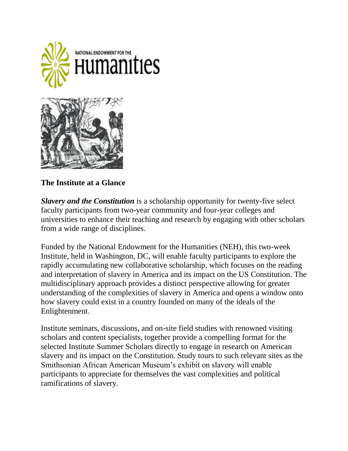

**The Institute at a Glance**

*Slavery and the Constitution* is a scholarship opportunity for twenty-five select faculty participants from two-year community and four-year colleges and universities to enhance their teaching and research by engaging with other scholars from a wide range of disciplines.

Funded by the National Endowment for the Humanities (NEH), this two-week Institute, held in Washington, DC, will enable faculty participants to explore the rapidly accumulating new collaborative scholarship, which focuses on the reading and interpretation of slavery in America and its impact on the US Constitution. The multidisciplinary approach provides a distinct perspective allowing for greater understanding of the complexities of slavery in America and opens a window onto how slavery could exist in a country founded on many of the ideals of the Enlightenment.

Institute seminars, discussions, and on-site field studies with renowned visiting scholars and content specialists, together provide a compelling format for the selected Institute Summer Scholars directly to engage in research on American slavery and its impact on the Constitution. Study tours to such relevant sites as the Smithsonian African American Museum's exhibit on slavery will enable participants to appreciate for themselves the vast complexities and political ramifications of slavery.